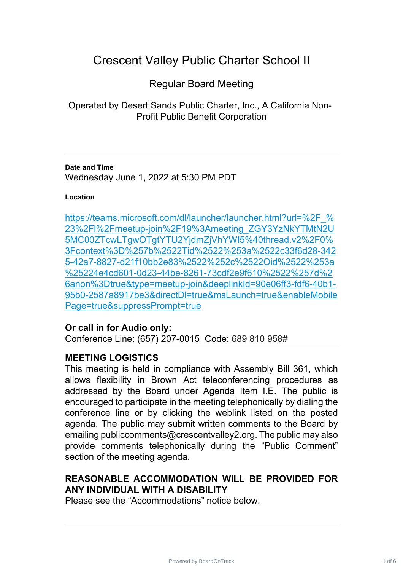# Crescent Valley Public Charter School II

# Regular Board Meeting

Operated by Desert Sands Public Charter, Inc., A California Non-Profit Public Benefit Corporation

**Date and Time** Wednesday June 1, 2022 at 5:30 PM PDT

#### **Location**

https://teams.microsoft.com/dl/launcher/launcher.html?url=%2F % 23%2Fl%2Fmeetup-join%2F19%3Ameeting\_ZGY3YzNkYTMtN2U [5MC00ZTcwLTgwOTgtYTU2YjdmZjVhYWI5%40thread.v2%2F0%](https://teams.microsoft.com/dl/launcher/launcher.html?url=%2F_%23%2Fl%2Fmeetup-join%2F19%3Ameeting_ZGY3YzNkYTMtN2U5MC00ZTcwLTgwOTgtYTU2YjdmZjVhYWI5%40thread.v2%2F0%3Fcontext%3D%257b%2522Tid%2522%253a%2522c33f6d28-3425-42a7-8827-d21f10bb2e83%2522%252c%2522Oid%2522%253a%25224e4cd601-0d23-44be-8261-73cdf2e9f610%2522%257d%26anon%3Dtrue&type=meetup-join&deeplinkId=90e06ff3-fdf6-40b1-95b0-2587a8917be3&directDl=true&msLaunch=true&enableMobilePage=true&suppressPrompt=true) 3Fcontext%3D%257b%2522Tid%2522%253a%2522c33f6d28-342 [5-42a7-8827-d21f10bb2e83%2522%252c%2522Oid%2522%253a](https://teams.microsoft.com/dl/launcher/launcher.html?url=%2F_%23%2Fl%2Fmeetup-join%2F19%3Ameeting_ZGY3YzNkYTMtN2U5MC00ZTcwLTgwOTgtYTU2YjdmZjVhYWI5%40thread.v2%2F0%3Fcontext%3D%257b%2522Tid%2522%253a%2522c33f6d28-3425-42a7-8827-d21f10bb2e83%2522%252c%2522Oid%2522%253a%25224e4cd601-0d23-44be-8261-73cdf2e9f610%2522%257d%26anon%3Dtrue&type=meetup-join&deeplinkId=90e06ff3-fdf6-40b1-95b0-2587a8917be3&directDl=true&msLaunch=true&enableMobilePage=true&suppressPrompt=true) %25224e4cd601-0d23-44be-8261-73cdf2e9f610%2522%257d%2 [6anon%3Dtrue&type=meetup-join&deeplinkId=90e06ff3-fdf6-40b1-](https://teams.microsoft.com/dl/launcher/launcher.html?url=%2F_%23%2Fl%2Fmeetup-join%2F19%3Ameeting_ZGY3YzNkYTMtN2U5MC00ZTcwLTgwOTgtYTU2YjdmZjVhYWI5%40thread.v2%2F0%3Fcontext%3D%257b%2522Tid%2522%253a%2522c33f6d28-3425-42a7-8827-d21f10bb2e83%2522%252c%2522Oid%2522%253a%25224e4cd601-0d23-44be-8261-73cdf2e9f610%2522%257d%26anon%3Dtrue&type=meetup-join&deeplinkId=90e06ff3-fdf6-40b1-95b0-2587a8917be3&directDl=true&msLaunch=true&enableMobilePage=true&suppressPrompt=true) 95b0-2587a8917be3&directDl=true&msLaunch=true&enableMobile [Page=true&suppressPrompt=true](https://teams.microsoft.com/dl/launcher/launcher.html?url=%2F_%23%2Fl%2Fmeetup-join%2F19%3Ameeting_ZGY3YzNkYTMtN2U5MC00ZTcwLTgwOTgtYTU2YjdmZjVhYWI5%40thread.v2%2F0%3Fcontext%3D%257b%2522Tid%2522%253a%2522c33f6d28-3425-42a7-8827-d21f10bb2e83%2522%252c%2522Oid%2522%253a%25224e4cd601-0d23-44be-8261-73cdf2e9f610%2522%257d%26anon%3Dtrue&type=meetup-join&deeplinkId=90e06ff3-fdf6-40b1-95b0-2587a8917be3&directDl=true&msLaunch=true&enableMobilePage=true&suppressPrompt=true)

## **Or call in for Audio only:**

Conference Line: (657) 207-0015 Code: 689 810 958#

## **MEETING LOGISTICS**

This meeting is held in compliance with Assembly Bill 361, which allows flexibility in Brown Act teleconferencing procedures as addressed by the Board under Agenda Item I.E. The public is encouraged to participate in the meeting telephonically by dialing the conference line or by clicking the weblink listed on the posted agenda. The public may submit written comments to the Board by emailing publiccomments@crescentvalley2.org. The public may also provide comments telephonically during the "Public Comment" section of the meeting agenda.

## **REASONABLE ACCOMMODATION WILL BE PROVIDED FOR ANY INDIVIDUAL WITH A DISABILITY**

Please see the "Accommodations" notice below.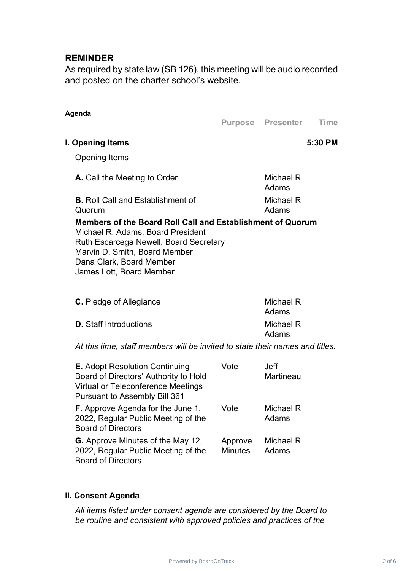## **REMINDER**

As required by state law (SB 126), this meeting will be audio recorded and posted on the charter school's website.

| Agenda                                                                                                                                                                                                                             |      |                          | Time    |
|------------------------------------------------------------------------------------------------------------------------------------------------------------------------------------------------------------------------------------|------|--------------------------|---------|
|                                                                                                                                                                                                                                    |      | <b>Purpose Presenter</b> |         |
| I. Opening Items                                                                                                                                                                                                                   |      |                          | 5:30 PM |
| <b>Opening Items</b>                                                                                                                                                                                                               |      |                          |         |
| <b>A.</b> Call the Meeting to Order                                                                                                                                                                                                |      | Michael R<br>Adams       |         |
| <b>B.</b> Roll Call and Establishment of<br>Quorum                                                                                                                                                                                 |      | Michael R<br>Adams       |         |
| Members of the Board Roll Call and Establishment of Quorum<br>Michael R. Adams, Board President<br>Ruth Escarcega Newell, Board Secretary<br>Marvin D. Smith, Board Member<br>Dana Clark, Board Member<br>James Lott, Board Member |      |                          |         |
| <b>C.</b> Pledge of Allegiance                                                                                                                                                                                                     |      | Michael R<br>Adams       |         |
| <b>D.</b> Staff Introductions                                                                                                                                                                                                      |      | Michael R<br>Adams       |         |
| At this time, staff members will be invited to state their names and titles.                                                                                                                                                       |      |                          |         |
| <b>E.</b> Adopt Resolution Continuing<br>Board of Directors' Authority to Hold<br>Virtual or Teleconference Meetings                                                                                                               | Vote | <b>Jeff</b><br>Martineau |         |

| <b>Pursuant to Assembly Bill 361</b>                                                                         |                           |                    |
|--------------------------------------------------------------------------------------------------------------|---------------------------|--------------------|
| <b>F.</b> Approve Agenda for the June 1,<br>2022, Regular Public Meeting of the<br><b>Board of Directors</b> | Vote                      | Michael R<br>Adams |
| <b>G.</b> Approve Minutes of the May 12,<br>2022, Regular Public Meeting of the<br><b>Board of Directors</b> | Approve<br><b>Minutes</b> | Michael R<br>Adams |

## **II. Consent Agenda**

*All items listed under consent agenda are considered by the Board to be routine and consistent with approved policies and practices of the*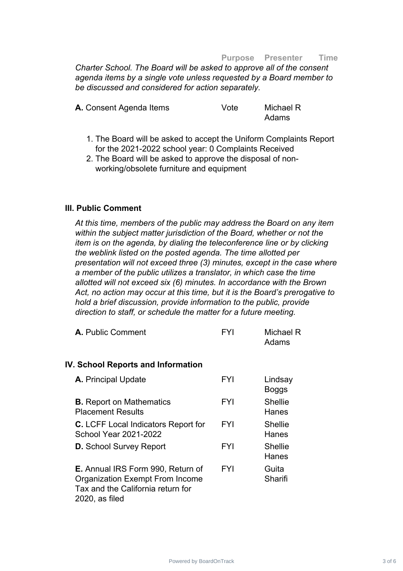#### **Purpose Presenter Time**

*Charter School. The Board will be asked to approve all of the consent agenda items by a single vote unless requested by a Board member to be discussed and considered for action separately.*

| A. Consent Agenda Items | Vote | Michael R |
|-------------------------|------|-----------|
|                         |      | Adams     |

- 1. The Board will be asked to accept the Uniform Complaints Report for the 2021-2022 school year: 0 Complaints Received
- 2. The Board will be asked to approve the disposal of nonworking/obsolete furniture and equipment

#### **III. Public Comment**

*At this time, members of the public may address the Board on any item within the subject matter jurisdiction of the Board, whether or not the item is on the agenda, by dialing the teleconference line or by clicking the weblink listed on the posted agenda. The time allotted per presentation will not exceed three (3) minutes, except in the case where a member of the public utilizes a translator, in which case the time allotted will not exceed six (6) minutes. In accordance with the Brown Act, no action may occur at this time, but it is the Board's prerogative to hold a brief discussion, provide information to the public, provide direction to staff, or schedule the matter for a future meeting.*

| A. Public Comment | <b>FYI</b> | Michael R |
|-------------------|------------|-----------|
|                   |            | Adams     |

#### **IV. School Reports and Information**

| <b>A.</b> Principal Update                                                                                                                | FYI        | Lindsay<br>Boggs        |
|-------------------------------------------------------------------------------------------------------------------------------------------|------------|-------------------------|
| <b>B.</b> Report on Mathematics<br><b>Placement Results</b>                                                                               | FYI        | <b>Shellie</b><br>Hanes |
| <b>C.</b> LCFF Local Indicators Report for<br><b>School Year 2021-2022</b>                                                                | <b>FYI</b> | <b>Shellie</b><br>Hanes |
| <b>D.</b> School Survey Report                                                                                                            | <b>FYI</b> | <b>Shellie</b><br>Hanes |
| <b>E.</b> Annual IRS Form 990, Return of<br><b>Organization Exempt From Income</b><br>Tax and the California return for<br>2020, as filed | <b>FYI</b> | Guita<br>Sharifi        |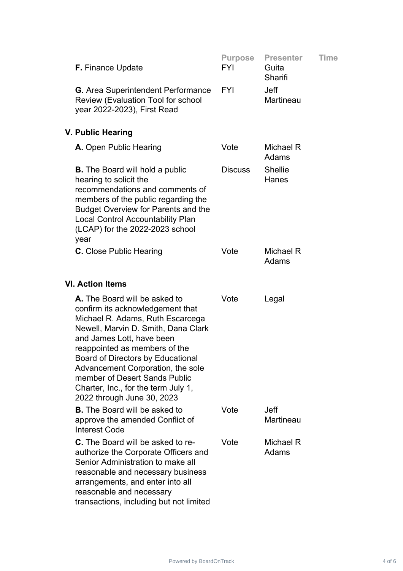| <b>F.</b> Finance Update                                                                                                                                                                                                                                                                                                                                                                          | <b>Purpose</b><br>FYI | <b>Presenter</b><br>Guita<br>Sharifi | Time |  |
|---------------------------------------------------------------------------------------------------------------------------------------------------------------------------------------------------------------------------------------------------------------------------------------------------------------------------------------------------------------------------------------------------|-----------------------|--------------------------------------|------|--|
| <b>G.</b> Area Superintendent Performance<br><b>Review (Evaluation Tool for school</b><br>year 2022-2023), First Read                                                                                                                                                                                                                                                                             | <b>FYI</b>            | <b>Jeff</b><br>Martineau             |      |  |
| V. Public Hearing                                                                                                                                                                                                                                                                                                                                                                                 |                       |                                      |      |  |
| A. Open Public Hearing                                                                                                                                                                                                                                                                                                                                                                            | Vote                  | Michael R<br>Adams                   |      |  |
| <b>B.</b> The Board will hold a public<br>hearing to solicit the<br>recommendations and comments of<br>members of the public regarding the<br><b>Budget Overview for Parents and the</b><br><b>Local Control Accountability Plan</b><br>(LCAP) for the 2022-2023 school<br>year                                                                                                                   | <b>Discuss</b>        | <b>Shellie</b><br>Hanes              |      |  |
| <b>C.</b> Close Public Hearing                                                                                                                                                                                                                                                                                                                                                                    | Vote                  | Michael R<br>Adams                   |      |  |
| <b>VI. Action Items</b>                                                                                                                                                                                                                                                                                                                                                                           |                       |                                      |      |  |
| <b>A.</b> The Board will be asked to<br>confirm its acknowledgement that<br>Michael R. Adams, Ruth Escarcega<br>Newell, Marvin D. Smith, Dana Clark<br>and James Lott, have been<br>reappointed as members of the<br>Board of Directors by Educational<br>Advancement Corporation, the sole<br>member of Desert Sands Public<br>Charter, Inc., for the term July 1,<br>2022 through June 30, 2023 | Vote                  | Legal                                |      |  |
| <b>B.</b> The Board will be asked to<br>approve the amended Conflict of<br><b>Interest Code</b>                                                                                                                                                                                                                                                                                                   | Vote                  | <b>Jeff</b><br>Martineau             |      |  |
| <b>C.</b> The Board will be asked to re-<br>authorize the Corporate Officers and<br>Senior Administration to make all<br>reasonable and necessary business<br>arrangements, and enter into all<br>reasonable and necessary<br>transactions, including but not limited                                                                                                                             | Vote                  | Michael R<br>Adams                   |      |  |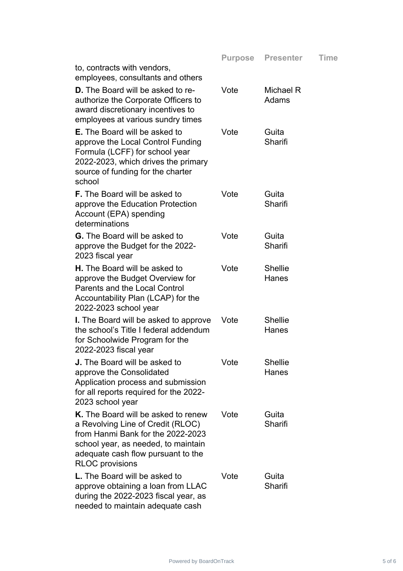|                                                                                                                                                                                                                      | <b>Purpose</b> | <b>Presenter</b>        | Time |
|----------------------------------------------------------------------------------------------------------------------------------------------------------------------------------------------------------------------|----------------|-------------------------|------|
| to, contracts with vendors,<br>employees, consultants and others                                                                                                                                                     |                |                         |      |
| <b>D.</b> The Board will be asked to re-<br>authorize the Corporate Officers to<br>award discretionary incentives to<br>employees at various sundry times                                                            | Vote           | Michael R<br>Adams      |      |
| <b>E.</b> The Board will be asked to<br>approve the Local Control Funding<br>Formula (LCFF) for school year<br>2022-2023, which drives the primary<br>source of funding for the charter<br>school                    | Vote           | Guita<br>Sharifi        |      |
| <b>F.</b> The Board will be asked to<br>approve the Education Protection<br>Account (EPA) spending<br>determinations                                                                                                 | Vote           | Guita<br>Sharifi        |      |
| <b>G.</b> The Board will be asked to<br>approve the Budget for the 2022-<br>2023 fiscal year                                                                                                                         | Vote           | Guita<br>Sharifi        |      |
| <b>H.</b> The Board will be asked to<br>approve the Budget Overview for<br>Parents and the Local Control<br>Accountability Plan (LCAP) for the<br>2022-2023 school year                                              | Vote           | <b>Shellie</b><br>Hanes |      |
| <b>I.</b> The Board will be asked to approve<br>the school's Title I federal addendum<br>for Schoolwide Program for the<br>2022-2023 fiscal year                                                                     | Vote           | <b>Shellie</b><br>Hanes |      |
| J. The Board will be asked to<br>approve the Consolidated<br>Application process and submission<br>for all reports required for the 2022-<br>2023 school year                                                        | Vote           | <b>Shellie</b><br>Hanes |      |
| K. The Board will be asked to renew<br>a Revolving Line of Credit (RLOC)<br>from Hanmi Bank for the 2022-2023<br>school year, as needed, to maintain<br>adequate cash flow pursuant to the<br><b>RLOC</b> provisions | Vote           | Guita<br>Sharifi        |      |
| <b>L.</b> The Board will be asked to<br>approve obtaining a loan from LLAC<br>during the 2022-2023 fiscal year, as<br>needed to maintain adequate cash                                                               | Vote           | Guita<br>Sharifi        |      |